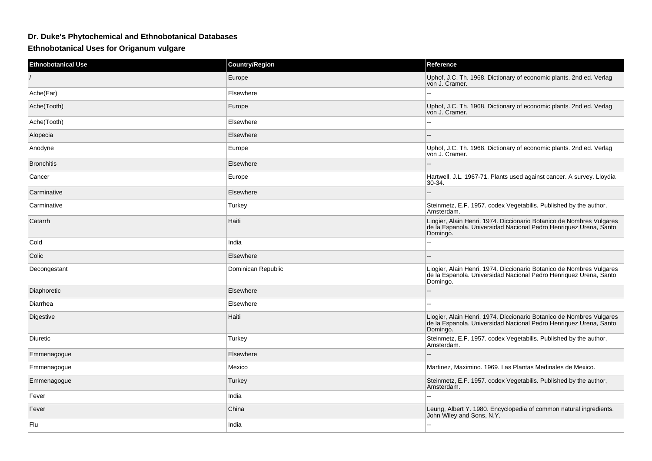## **Dr. Duke's Phytochemical and Ethnobotanical Databases**

## **Ethnobotanical Uses for Origanum vulgare**

| <b>Ethnobotanical Use</b> | <b>Country/Region</b> | Reference                                                                                                                                             |
|---------------------------|-----------------------|-------------------------------------------------------------------------------------------------------------------------------------------------------|
|                           | Europe                | Uphof, J.C. Th. 1968. Dictionary of economic plants. 2nd ed. Verlag<br>von J. Cramer.                                                                 |
| Ache(Ear)                 | Elsewhere             |                                                                                                                                                       |
| Ache(Tooth)               | Europe                | Uphof, J.C. Th. 1968. Dictionary of economic plants. 2nd ed. Verlag<br>von J. Cramer.                                                                 |
| Ache(Tooth)               | Elsewhere             |                                                                                                                                                       |
| Alopecia                  | Elsewhere             |                                                                                                                                                       |
| Anodyne                   | Europe                | Uphof, J.C. Th. 1968. Dictionary of economic plants. 2nd ed. Verlag<br>von J. Cramer.                                                                 |
| <b>Bronchitis</b>         | Elsewhere             |                                                                                                                                                       |
| Cancer                    | Europe                | Hartwell, J.L. 1967-71. Plants used against cancer. A survey. Lloydia<br>30-34.                                                                       |
| Carminative               | Elsewhere             | $\overline{a}$                                                                                                                                        |
| Carminative               | Turkey                | Steinmetz, E.F. 1957. codex Vegetabilis. Published by the author,<br>Amsterdam.                                                                       |
| Catarrh                   | Haiti                 | Liogier, Alain Henri. 1974. Diccionario Botanico de Nombres Vulgares<br>de la Espanola. Universidad Nacional Pedro Henriquez Urena, Santo<br>Domingo. |
| Cold                      | India                 |                                                                                                                                                       |
| Colic                     | Elsewhere             |                                                                                                                                                       |
| Decongestant              | Dominican Republic    | Liogier, Alain Henri. 1974. Diccionario Botanico de Nombres Vulgares<br>de la Espanola. Universidad Nacional Pedro Henriquez Urena, Santo<br>Domingo. |
| Diaphoretic               | Elsewhere             |                                                                                                                                                       |
| Diarrhea                  | Elsewhere             | --                                                                                                                                                    |
| Digestive                 | Haiti                 | Liogier, Alain Henri. 1974. Diccionario Botanico de Nombres Vulgares<br>de la Espanola. Universidad Nacional Pedro Henriquez Urena, Santo<br>Domingo. |
| Diuretic                  | Turkey                | Steinmetz, E.F. 1957. codex Vegetabilis. Published by the author,<br>Amsterdam.                                                                       |
| Emmenagogue               | Elsewhere             |                                                                                                                                                       |
| Emmenagogue               | Mexico                | Martinez, Maximino. 1969. Las Plantas Medinales de Mexico.                                                                                            |
| Emmenagogue               | Turkey                | Steinmetz, E.F. 1957. codex Vegetabilis. Published by the author,<br>Amsterdam.                                                                       |
| Fever                     | India                 |                                                                                                                                                       |
| Fever                     | China                 | Leung, Albert Y. 1980. Encyclopedia of common natural ingredients.<br>John Wiley and Sons, N.Y.                                                       |
| Flu                       | India                 |                                                                                                                                                       |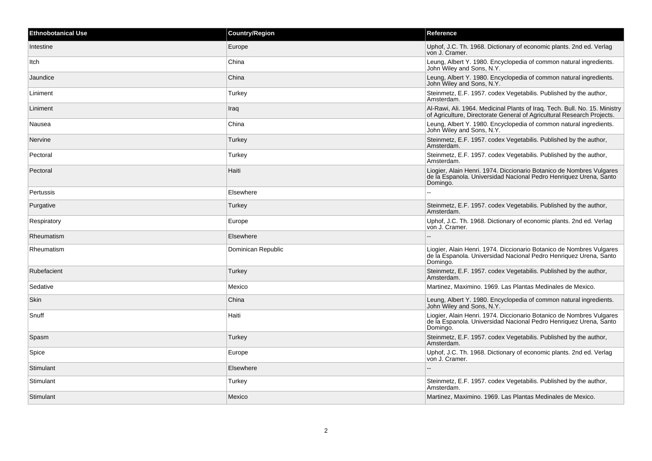| <b>Ethnobotanical Use</b> | <b>Country/Region</b> | Reference                                                                                                                                             |
|---------------------------|-----------------------|-------------------------------------------------------------------------------------------------------------------------------------------------------|
| Intestine                 | Europe                | Uphof, J.C. Th. 1968. Dictionary of economic plants. 2nd ed. Verlag<br>von J. Cramer.                                                                 |
| Itch                      | China                 | Leung, Albert Y. 1980. Encyclopedia of common natural ingredients.<br>John Wiley and Sons, N.Y.                                                       |
| Jaundice                  | China                 | Leung, Albert Y. 1980. Encyclopedia of common natural ingredients.<br>John Wiley and Sons, N.Y.                                                       |
| Liniment                  | Turkey                | Steinmetz, E.F. 1957. codex Vegetabilis. Published by the author,<br>Amsterdam.                                                                       |
| Liniment                  | Iraq                  | Al-Rawi, Ali. 1964. Medicinal Plants of Iraq. Tech. Bull. No. 15. Ministry<br>of Agriculture, Directorate General of Agricultural Research Projects.  |
| Nausea                    | China                 | Leung, Albert Y. 1980. Encyclopedia of common natural ingredients.<br>John Wiley and Sons, N.Y.                                                       |
| Nervine                   | Turkey                | Steinmetz, E.F. 1957. codex Vegetabilis. Published by the author,<br>Amsterdam.                                                                       |
| Pectoral                  | Turkey                | Steinmetz, E.F. 1957. codex Vegetabilis. Published by the author,<br>Amsterdam.                                                                       |
| Pectoral                  | Haiti                 | Liogier, Alain Henri. 1974. Diccionario Botanico de Nombres Vulgares<br>de la Espanola. Universidad Nacional Pedro Henriquez Urena, Santo<br>Domingo. |
| Pertussis                 | Elsewhere             |                                                                                                                                                       |
| Purgative                 | Turkey                | Steinmetz, E.F. 1957. codex Vegetabilis. Published by the author,<br>Amsterdam.                                                                       |
| Respiratory               | Europe                | Uphof, J.C. Th. 1968. Dictionary of economic plants. 2nd ed. Verlag<br>von J. Cramer.                                                                 |
| Rheumatism                | Elsewhere             |                                                                                                                                                       |
| Rheumatism                | Dominican Republic    | Liogier, Alain Henri. 1974. Diccionario Botanico de Nombres Vulgares<br>de la Espanola. Universidad Nacional Pedro Henriquez Urena, Santo<br>Domingo. |
| Rubefacient               | Turkey                | Steinmetz, E.F. 1957. codex Vegetabilis. Published by the author,<br>Amsterdam.                                                                       |
| Sedative                  | Mexico                | Martinez, Maximino. 1969. Las Plantas Medinales de Mexico.                                                                                            |
| <b>Skin</b>               | China                 | Leung, Albert Y. 1980. Encyclopedia of common natural ingredients.<br>John Wiley and Sons, N.Y.                                                       |
| Snuff                     | Haiti                 | Liogier, Alain Henri. 1974. Diccionario Botanico de Nombres Vulgares<br>de la Espanola. Universidad Nacional Pedro Henriquez Urena, Santo<br>Domingo. |
| Spasm                     | Turkey                | Steinmetz, E.F. 1957. codex Vegetabilis. Published by the author,<br>Amsterdam.                                                                       |
| Spice                     | Europe                | Uphof, J.C. Th. 1968. Dictionary of economic plants. 2nd ed. Verlag<br>von J. Cramer.                                                                 |
| Stimulant                 | Elsewhere             |                                                                                                                                                       |
| Stimulant                 | Turkey                | Steinmetz, E.F. 1957. codex Vegetabilis. Published by the author,<br>Amsterdam.                                                                       |
| Stimulant                 | Mexico                | Martinez, Maximino. 1969. Las Plantas Medinales de Mexico.                                                                                            |